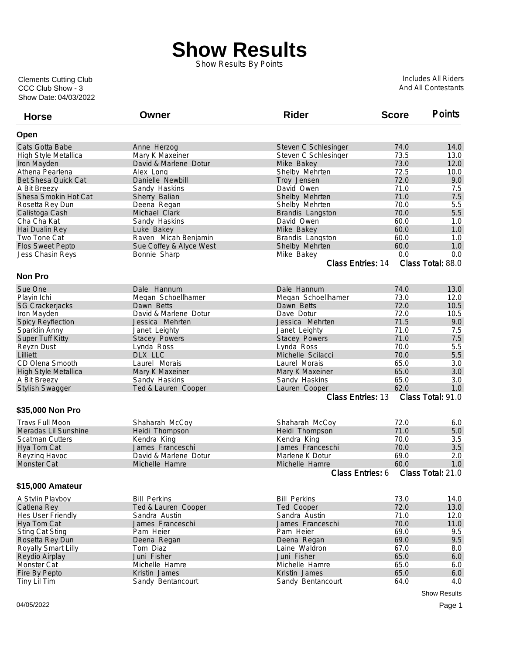## **Show Results**

Show Results By Points

Show Date: 04/03/2022 CCC Club Show - 3 Clements Cutting Club

Includes All Riders And All Contestants

| <b>Horse</b>               | Owner                                 | <b>Rider</b>                              | <b>Score</b> | <b>Points</b>       |
|----------------------------|---------------------------------------|-------------------------------------------|--------------|---------------------|
| Open                       |                                       |                                           |              |                     |
| Cats Gotta Babe            | Anne Herzog                           | Steven C Schlesinger                      | 74.0         | 14.0                |
| High Style Metallica       | Mary K Maxeiner                       | Steven C Schlesinger                      | 73.5         | 13.0                |
| Iron Mayden                | David & Marlene Dotur                 | Mike Bakey                                | 73.0         | 12.0                |
| Athena Pearlena            | Alex Long                             | Shelby Mehrten                            | 72.5         | 10.0                |
| <b>Bet Shesa Quick Cat</b> | Danielle Newbill                      | Troy Jensen                               | 72.0         | 9.0                 |
| A Bit Breezy               | Sandy Haskins                         | David Owen                                | 71.0         | 7.5                 |
| Shesa Smokin Hot Cat       | Sherry Balian                         | Shelby Mehrten                            | 71.0         | 7.5                 |
| Rosetta Rey Dun            | Deena Regan                           | Shelby Mehrten                            | 70.0         | 5.5                 |
| Calistoga Cash             | Michael Clark                         | Brandis Langston                          | 70.0         | 5.5                 |
| Cha Cha Kat                | Sandy Haskins                         | David Owen                                | 60.0         | 1.0                 |
| Hai Dualin Rey             | Luke Bakey                            | Mike Bakey                                | 60.0         | 1.0                 |
| Two Tone Cat               | Raven Micah Benjamin                  | Brandis Langston                          | 60.0         | 1.0                 |
| <b>Flos Sweet Pepto</b>    | Sue Coffey & Alyce West               | Shelby Mehrten                            | 60.0         | 1.0                 |
| Jess Chasin Reys           | Bonnie Sharp                          | Mike Bakey                                | 0.0          | 0.0                 |
|                            |                                       | Class Entries: 14                         |              | Class Total: 88.0   |
| <b>Non Pro</b>             |                                       |                                           |              |                     |
| Sue One                    | Dale Hannum                           | Dale Hannum                               | 74.0         | 13.0                |
| Playin Ichi                | Megan Schoellhamer                    | Megan Schoellhamer                        | 73.0         | 12.0                |
| <b>SG Crackerjacks</b>     | Dawn Betts                            | Dawn Betts                                | 72.0         | 10.5                |
| Iron Mayden                | David & Marlene Dotur                 | Dave Dotur                                | 72.0         | 10.5                |
| <b>Spicy Reyflection</b>   | Jessica Mehrten                       | Jessica Mehrten                           | 71.5         | 9.0                 |
| Sparklin Anny              |                                       | Janet Leighty                             | 71.0         | 7.5                 |
| Super Tuff Kitty           | Janet Leighty<br><b>Stacey Powers</b> | <b>Stacey Powers</b>                      | 71.0         | 7.5                 |
|                            | Lynda Ross                            | Lynda Ross                                | 70.0         | 5.5                 |
| Reyzn Dust<br>Lilliett     | DLX LLC                               | Michelle Scilacci                         | 70.0         | 5.5                 |
| CD Olena Smooth            | Laurel Morais                         | Laurel Morais                             | 65.0         | 3.0                 |
| High Style Metallica       | Mary K Maxeiner                       |                                           | 65.0         | 3.0                 |
|                            |                                       | Mary K Maxeiner                           | 65.0         | 3.0                 |
| A Bit Breezy               | Sandy Haskins                         | Sandy Haskins                             | 62.0         | 1.0                 |
| <b>Stylish Swagger</b>     | Ted & Lauren Cooper                   | Lauren Cooper<br><b>Class Entries: 13</b> |              | Class Total: 91.0   |
| \$35,000 Non Pro           |                                       |                                           |              |                     |
| <b>Travs Full Moon</b>     | Shaharah McCoy                        | Shaharah McCoy                            | 72.0         | 6.0                 |
| Meradas Lil Sunshine       | Heidi Thompson                        | Heidi Thompson                            | 71.0         | 5.0                 |
| <b>Scatman Cutters</b>     | Kendra King                           | Kendra King                               | 70.0         | 3.5                 |
| Hya Tom Cat                | James Franceschi                      | James Franceschi                          | 70.0         | 3.5                 |
| Reyzing Havoc              | David & Marlene Dotur                 | Marlene K Dotur                           | 69.0         | 2.0                 |
| <b>Monster Cat</b>         | Michelle Hamre                        | Michelle Hamre                            | 60.0         | 1.0                 |
|                            |                                       | Class Entries: 6                          |              | Class Total: 21.0   |
| \$15,000 Amateur           |                                       |                                           |              |                     |
| A Stylin Playboy           | <b>Bill Perkins</b>                   | <b>Bill Perkins</b>                       | 73.0         | 14.0                |
| Catlena Rey                | Ted & Lauren Cooper                   | Ted Cooper                                | 72.0         | 13.0                |
| Hes User Friendly          | Sandra Austin                         | Sandra Austin                             | 71.0         | 12.0                |
| Hya Tom Cat                | James Franceschi                      | James Franceschi                          | 70.0         | 11.0                |
| <b>Sting Cat Sting</b>     | Pam Heier                             | Pam Heier                                 | 69.0         | 9.5                 |
| Rosetta Rey Dun            | Deena Regan                           | Deena Regan                               | 69.0         | 9.5                 |
| Royally Smart Lilly        | Tom Diaz                              | Laine Waldron                             | 67.0         | 8.0                 |
| Reydio Airplay             | Juni Fisher                           | Juni Fisher                               | 65.0         | $6.0\,$             |
| Monster Cat                | Michelle Hamre                        | Michelle Hamre                            | 65.0         | 6.0                 |
| Fire By Pepto              | Kristin James                         | Kristin James                             | 65.0         | 6.0                 |
| Tiny Lil Tim               | Sandy Bentancourt                     | Sandy Bentancourt                         | 64.0         | 4.0                 |
|                            |                                       |                                           |              | <b>Show Results</b> |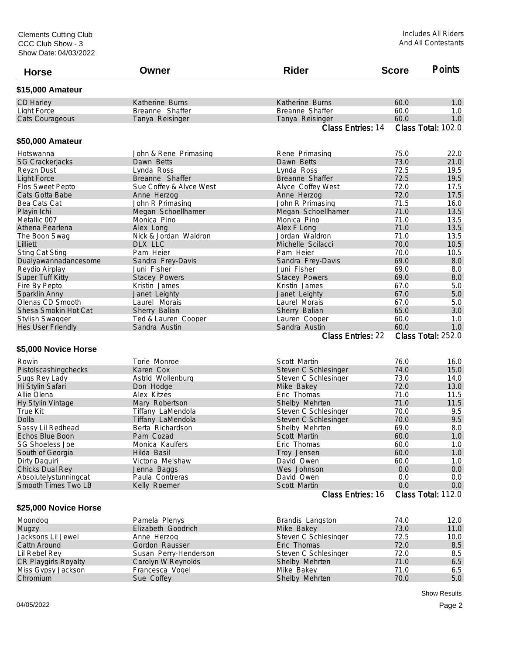| <b>Horse</b>             | Owner                   | <b>Rider</b>             | <b>Score</b>       | <b>Points</b>      |  |
|--------------------------|-------------------------|--------------------------|--------------------|--------------------|--|
| \$15,000 Amateur         |                         |                          |                    |                    |  |
| CD Harley                | Katherine Burns         | Katherine Burns          | 60.0               | 1.0                |  |
| <b>Light Force</b>       | Breanne Shaffer         | Breanne Shaffer          | 60.0               | 1.0                |  |
| Cats Courageous          | Tanya Reisinger         | Tanya Reisinger          | 60.0               | 1.0                |  |
|                          |                         | Class Entries: 14        |                    | Class Total: 102.0 |  |
| \$50,000 Amateur         |                         |                          |                    |                    |  |
| Hotswanna                | John & Rene Primasing   | Rene Primasing           | 75.0               | 22.0               |  |
| <b>SG Crackerjacks</b>   | Dawn Betts              | Dawn Betts               | 73.0               | 21.0               |  |
| Reyzn Dust               | Lynda Ross              | Lynda Ross               | 72.5               | 19.5               |  |
| <b>Light Force</b>       | Breanne Shaffer         | Breanne Shaffer          | 72.5               | 19.5               |  |
| <b>Flos Sweet Pepto</b>  | Sue Coffey & Alyce West | Alyce Coffey West        | 72.0               | 17.5               |  |
| Cats Gotta Babe          | Anne Herzog             | Anne Herzog              | 72.0               | 17.5               |  |
| Bea Cats Cat             | John R Primasing        | John R Primasing         | 71.5               | 16.0               |  |
| Playin Ichi              | Megan Schoellhamer      | Megan Schoellhamer       | 71.0               | 13.5               |  |
| Metallic 007             | Monica Pino             | Monica Pino              | 71.0               | 13.5               |  |
| Athena Pearlena          | Alex Long               | Alex F Long              | 71.0               | 13.5               |  |
| The Boon Swag            | Nick & Jordan Waldron   | Jordan Waldron           | 71.0               | 13.5               |  |
| Lilliett                 | DLX LLC                 | Michelle Scilacci        | 70.0               | 10.5               |  |
| <b>Sting Cat Sting</b>   | Pam Heier               | Pam Heier                | 70.0               | 10.5               |  |
| Dualyawannadancesome     | Sandra Frey-Davis       | Sandra Frey-Davis        | 69.0               | 8.0                |  |
| Reydio Airplay           | Juni Fisher             | Juni Fisher              | 69.0               | 8.0                |  |
| Super Tuff Kitty         | <b>Stacey Powers</b>    | <b>Stacey Powers</b>     | 69.0               | 8.0                |  |
| Fire By Pepto            | Kristin James           | Kristin James            | 67.0               | 5.0                |  |
| Sparklin Anny            | Janet Leighty           | Janet Leighty            | 67.0               | 5.0                |  |
| Olenas CD Smooth         | Laurel Morais           | Laurel Morais            | 67.0               | 5.0                |  |
| Shesa Smokin Hot Cat     | Sherry Balian           | Sherry Balian            | 65.0               | 3.0                |  |
| Stylish Swagger          | Ted & Lauren Cooper     | Lauren Cooper            | 60.0               | 1.0                |  |
| <b>Hes User Friendly</b> | Sandra Austin           | Sandra Austin            | 60.0               | 1.0                |  |
|                          |                         | <b>Class Entries: 22</b> |                    | Class Total: 252.0 |  |
| \$5,000 Novice Horse     |                         |                          |                    |                    |  |
| Rowin                    | Torie Monroe            | Scott Martin             | 76.0               | 16.0               |  |
| Pistolscashingchecks     | Karen Cox               | Steven C Schlesinger     | 74.0               | 15.0               |  |
| Sugs Rey Lady            | Astrid Wollenburg       | Steven C Schlesinger     | 73.0               | 14.0               |  |
| Hi Stylin Safari         | Don Hodge               | Mike Bakey               | 72.0               | 13.0               |  |
| Allie Olena              | Alex Kitzes             | Eric Thomas              | 71.0               | 11.5               |  |
| Hy Stylin Vintage        | Mary Robertson          | Shelby Mehrten           | 71.0               | 11.5               |  |
| True Kit                 | Tiffany LaMendola       | Steven C Schlesinger     | 70.0               | 9.5                |  |
| Dolla                    | Tiffany LaMendola       | Steven C Schlesinger     | 70.0               | 9.5                |  |
| Sassy Lil Redhead        | Berta Richardson        | Shelby Mehrten           | 69.0               | 8.0                |  |
| Echos Blue Boon          | Pam Cozad               | Scott Martin             | 60.0               | 1.0                |  |
| <b>SG Shoeless Joe</b>   | Monica Kaulfers         | Eric Thomas              | 60.0               | 1.0                |  |
| South of Georgia         | Hilda Basil             | Troy Jensen              | 60.0               | 1.0                |  |
| Dirty Daquiri            | Victoria Melshaw        | David Owen               | 60.0               | 1.0                |  |
| <b>Chicks Dual Rey</b>   | Jenna Baggs             | Wes Johnson              | 0.0                | 0.0                |  |
| Absolutelystunningcat    | Paula Contreras         | David Owen               | 0.0                | 0.0                |  |
| Smooth Times Two LB      | Kelly Roemer            | Scott Martin             | 0.0                | 0.0                |  |
|                          |                         | Class Entries: 16        | Class Total: 112.0 |                    |  |
| \$25,000 Novice Horse    |                         |                          |                    |                    |  |
| Moondog                  | Pamela Plenys           | Brandis Langston         | 74.0               | 12.0               |  |
| Mugzy                    | Elizabeth Goodrich      | Mike Bakey               | 73.0               | 11.0               |  |
| Jacksons Lil Jewel       | Anne Herzog             | Steven C Schlesinger     | 72.5               | 10.0               |  |
| Cattn Around             | Gordon Rausser          | Eric Thomas              | 72.0               | 8.5                |  |
| Lil Rebel Rey            | Susan Perry-Henderson   | Steven C Schlesinger     | 72.0               | 8.5                |  |
| CR Playgirls Royalty     | Carolyn W Reynolds      | Shelby Mehrten           | 71.0               | 6.5                |  |
| Miss Gypsy Jackson       | Francesca Vogel         | Mike Bakey               | 71.0               | 6.5                |  |
| Chromium                 | Sue Coffey              | Shelby Mehrten           | 70.0               | 5.0                |  |
|                          |                         |                          |                    |                    |  |